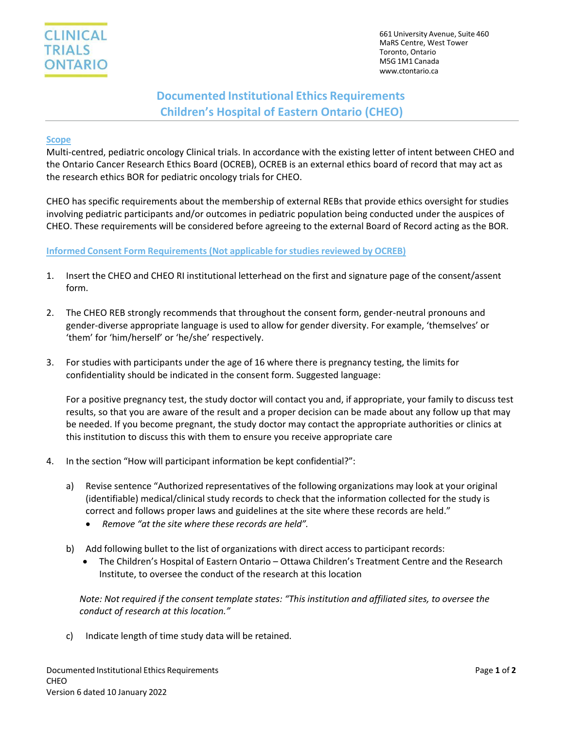

# **Documented Institutional Ethics Requirements Children's Hospital of Eastern Ontario (CHEO)**

#### **Scope**

Multi-centred, pediatric oncology Clinical trials. In accordance with the existing letter of intent between CHEO and the Ontario Cancer Research Ethics Board (OCREB), OCREB is an external ethics board of record that may act as the research ethics BOR for pediatric oncology trials for CHEO.

CHEO has specific requirements about the membership of external REBs that provide ethics oversight for studies involving pediatric participants and/or outcomes in pediatric population being conducted under the auspices of CHEO. These requirements will be considered before agreeing to the external Board of Record acting as the BOR.

#### **Informed Consent Form Requirements (Not applicable for studiesreviewed by OCREB)**

- 1. Insert the CHEO and CHEO RI institutional letterhead on the first and signature page of the consent/assent form.
- 2. The CHEO REB strongly recommends that throughout the consent form, gender-neutral pronouns and gender-diverse appropriate language is used to allow for gender diversity. For example, 'themselves' or 'them' for 'him/herself' or 'he/she' respectively.
- 3. For studies with participants under the age of 16 where there is pregnancy testing, the limits for confidentiality should be indicated in the consent form. Suggested language:

For a positive pregnancy test, the study doctor will contact you and, if appropriate, your family to discuss test results, so that you are aware of the result and a proper decision can be made about any follow up that may be needed. If you become pregnant, the study doctor may contact the appropriate authorities or clinics at this institution to discuss this with them to ensure you receive appropriate care

- 4. In the section "How will participant information be kept confidential?":
	- a) Revise sentence "Authorized representatives of the following organizations may look at your original (identifiable) medical/clinical study records to check that the information collected for the study is correct and follows proper laws and guidelines at the site where these records are held."
		- *Remove "at the site where these records are held".*
	- b) Add following bullet to the list of organizations with direct access to participant records:
		- The Children's Hospital of Eastern Ontario Ottawa Children's Treatment Centre and the Research Institute, to oversee the conduct of the research at this location

*Note: Not required if the consent template states: "This institution and affiliated sites, to oversee the conduct of research at this location."*

c) Indicate length of time study data will be retained.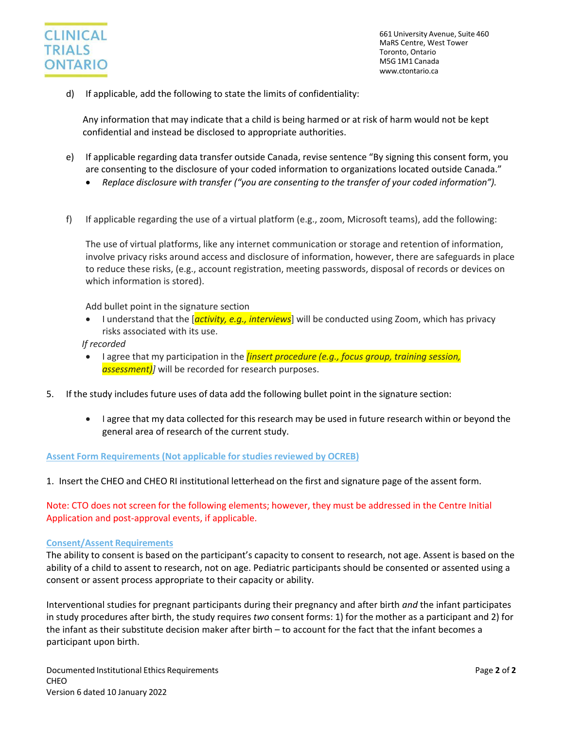

d) If applicable, add the following to state the limits of confidentiality:

Any information that may indicate that a child is being harmed or at risk of harm would not be kept confidential and instead be disclosed to appropriate authorities.

- e) If applicable regarding data transfer outside Canada, revise sentence "By signing this consent form, you are consenting to the disclosure of your coded information to organizations located outside Canada."
	- *Replace disclosure with transfer ("you are consenting to the transfer of your coded information").*
- f) If applicable regarding the use of a virtual platform (e.g., zoom, Microsoft teams), add the following:

The use of virtual platforms, like any internet communication or storage and retention of information, involve privacy risks around access and disclosure of information, however, there are safeguards in place to reduce these risks, (e.g., account registration, meeting passwords, disposal of records or devices on which information is stored).

Add bullet point in the signature section

• I understand that the [*activity, e.g., interviews*] will be conducted using Zoom, which has privacy risks associated with its use.

*If recorded*

- I agree that my participation in the *[insert procedure (e.g., focus group, training session, assessment)]* will be recorded for research purposes.
- 5. If the study includes future uses of data add the following bullet point in the signature section:
	- I agree that my data collected for this research may be used in future research within or beyond the general area of research of the current study.

#### **Assent Form Requirements (Not applicable for studies reviewed by OCREB)**

1. Insert the CHEO and CHEO RI institutional letterhead on the first and signature page of the assent form.

Note: CTO does not screen for the following elements; however, they must be addressed in the Centre Initial Application and post-approval events, if applicable.

#### **Consent/Assent Requirements**

The ability to consent is based on the participant's capacity to consent to research, not age. Assent is based on the ability of a child to assent to research, not on age. Pediatric participants should be consented or assented using a consent or assent process appropriate to their capacity or ability.

Interventional studies for pregnant participants during their pregnancy and after birth *and* the infant participates in study procedures after birth, the study requires *two* consent forms: 1) for the mother as a participant and 2) for the infant as their substitute decision maker after birth – to account for the fact that the infant becomes a participant upon birth.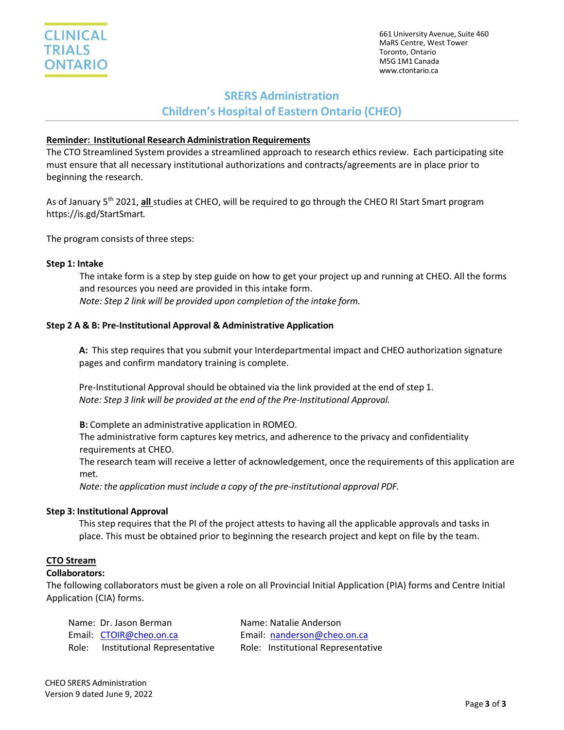

## **SRERS Administration**

**Children's Hospital of Eastern Ontario (CHEO)**

## **Reminder: Institutional Research Administration Requirements**

The CTO Streamlined System provides a streamlined approach to research ethics review. Each participating site must ensure that all necessary institutional authorizations and contracts/agreements are in place prior to beginning the research.

As of January 5<sup>th</sup> 2021, all studies at CHEO, will be required to go through the CHEO RI Start Smart program https://is.gd/StartSmart.

The program consists of three steps:

## **Step 1: Intake**

The intake form is a step by step guide on how to get your project up and running at CHEO. All the forms and resources you need are provided in this intake form. *Note: Step 2 link will be provided upon completion of the intake form.*

## **Step 2 A & B: Pre-Institutional Approval & Administrative Application**

**A:** This step requires that you submit your Interdepartmental impact and CHEO authorization signature pages and confirm mandatory training is complete.

Pre-Institutional Approval should be obtained via the link provided at the end of step 1. *Note: Step 3 link will be provided at the end of the Pre-Institutional Approval.*

**B:** Complete an administrative application in ROMEO. The administrative form captures key metrics, and adherence to the privacy and confidentiality requirements at CHEO.

The research team will receive a letter of acknowledgement, once the requirements of this application are met.

*Note: the application must include a copy of the pre-institutional approval PDF.*

## **Step 3: Institutional Approval**

This step requires that the PI of the project attests to having all the applicable approvals and tasks in place. This must be obtained prior to beginning the research project and kept on file by the team.

## **CTO Stream**

## **Collaborators:**

The following collaborators must be given a role on all Provincial Initial Application (PIA) forms and Centre Initial Application (CIA) forms.

|       | Name: Dr. Jason Berman       | Name: Natalie Anderson             |
|-------|------------------------------|------------------------------------|
|       | Email: CTOIR@cheo.on.ca      | Email: nanderson@cheo.on.ca        |
| Role: | Institutional Representative | Role: Institutional Representative |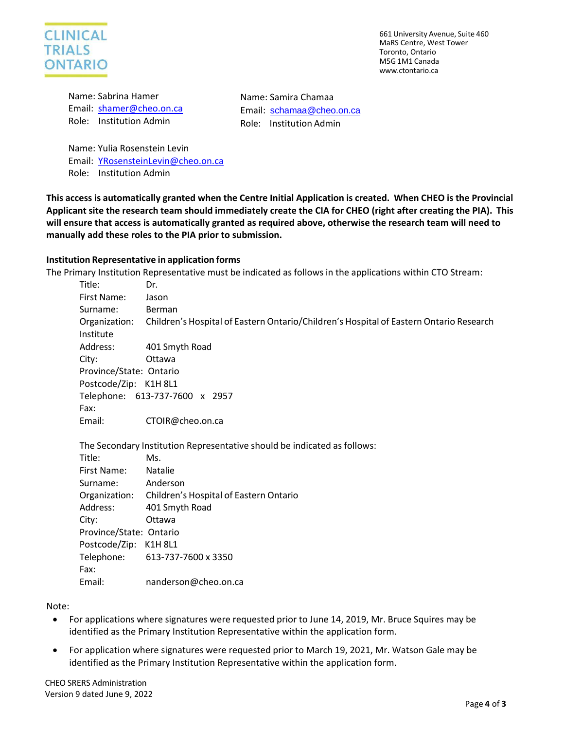

Name: Sabrina Hamer Email: [shamer@cheo.on.ca](mailto:shamer@cheo.on.ca) Role: Institution Admin

Name: Yulia Rosenstein Levin Email: [YRosensteinLevin@cheo.on.ca](mailto:YRosensteinLevin@cheo.on.ca) Role: Institution Admin

This access is automatically granted when the Centre Initial Application is created. When CHEO is the Provincial Applicant site the research team should immediately create the CIA for CHEO (right after creating the PIA). This **will ensure that access is automatically granted as required above, otherwise the research team will need to** 

Name: Samira Chamaa

Email: [schamaa@cheo.on.ca](mailto:schamaa@cheo.on.ca) Role: Institution Admin

#### **Institution Representative in application forms**

**manually add these roles to the PIA prior to submission.**

The Primary Institution Representative must be indicated as follows in the applications within CTO Stream:

| Title:                  | Dr.                                                                                    |  |
|-------------------------|----------------------------------------------------------------------------------------|--|
| First Name:             | Jason                                                                                  |  |
| Surname:                | Berman                                                                                 |  |
| Organization:           | Children's Hospital of Eastern Ontario/Children's Hospital of Eastern Ontario Research |  |
| Institute               |                                                                                        |  |
| Address:                | 401 Smyth Road                                                                         |  |
| City:                   | Ottawa                                                                                 |  |
| Province/State: Ontario |                                                                                        |  |
| Postcode/Zip: K1H 8L1   |                                                                                        |  |
|                         | Telephone: 613-737-7600 x 2957                                                         |  |
| Fax:                    |                                                                                        |  |
| Email:                  | CTOIR@cheo.on.ca                                                                       |  |

The Secondary Institution Representative should be indicated as follows:

| Title:                  | Ms.                                                  |
|-------------------------|------------------------------------------------------|
| First Name:             | <b>Natalie</b>                                       |
| Surname:                | Anderson                                             |
|                         | Organization: Children's Hospital of Eastern Ontario |
| Address:                | 401 Smyth Road                                       |
| City:                   | Ottawa                                               |
| Province/State: Ontario |                                                      |
| Postcode/Zip: K1H 8L1   |                                                      |
|                         | Telephone: 613-737-7600 x 3350                       |
| Fax:                    |                                                      |
| Email:                  | nanderson@cheo.on.ca                                 |

Note:

- For applications where signatures were requested prior to June 14, 2019, Mr. Bruce Squires may be identified as the Primary Institution Representative within the application form.
- For application where signatures were requested prior to March 19, 2021, Mr. Watson Gale may be identified as the Primary Institution Representative within the application form.

CHEO SRERS Administration Version 9 dated June 9, 2022